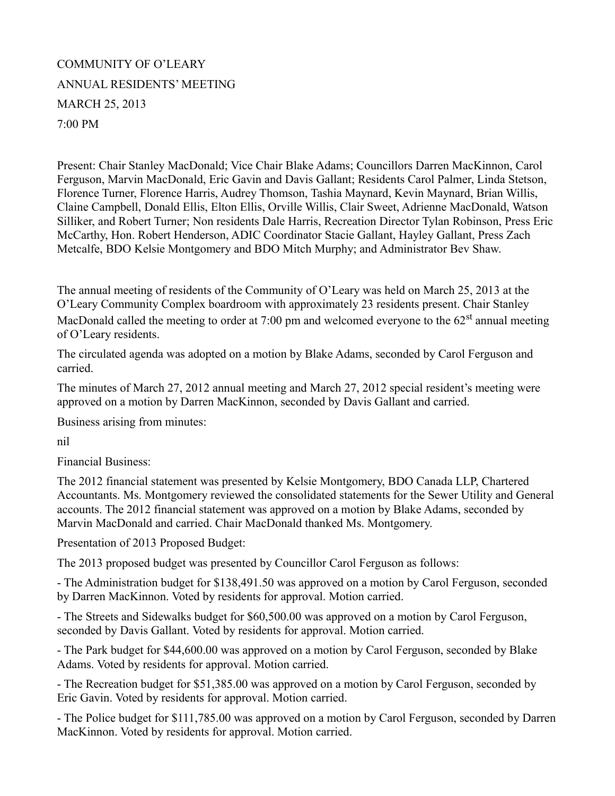## COMMUNITY OF O'LEARY ANNUAL RESIDENTS' MEETING MARCH 25, 2013 7:00 PM

Present: Chair Stanley MacDonald; Vice Chair Blake Adams; Councillors Darren MacKinnon, Carol Ferguson, Marvin MacDonald, Eric Gavin and Davis Gallant; Residents Carol Palmer, Linda Stetson, Florence Turner, Florence Harris, Audrey Thomson, Tashia Maynard, Kevin Maynard, Brian Willis, Claine Campbell, Donald Ellis, Elton Ellis, Orville Willis, Clair Sweet, Adrienne MacDonald, Watson Silliker, and Robert Turner; Non residents Dale Harris, Recreation Director Tylan Robinson, Press Eric McCarthy, Hon. Robert Henderson, ADIC Coordinator Stacie Gallant, Hayley Gallant, Press Zach Metcalfe, BDO Kelsie Montgomery and BDO Mitch Murphy; and Administrator Bev Shaw.

The annual meeting of residents of the Community of O'Leary was held on March 25, 2013 at the O'Leary Community Complex boardroom with approximately 23 residents present. Chair Stanley MacDonald called the meeting to order at 7:00 pm and welcomed everyone to the  $62<sup>st</sup>$  annual meeting of O'Leary residents.

The circulated agenda was adopted on a motion by Blake Adams, seconded by Carol Ferguson and carried.

The minutes of March 27, 2012 annual meeting and March 27, 2012 special resident's meeting were approved on a motion by Darren MacKinnon, seconded by Davis Gallant and carried.

Business arising from minutes:

nil

Financial Business:

The 2012 financial statement was presented by Kelsie Montgomery, BDO Canada LLP, Chartered Accountants. Ms. Montgomery reviewed the consolidated statements for the Sewer Utility and General accounts. The 2012 financial statement was approved on a motion by Blake Adams, seconded by Marvin MacDonald and carried. Chair MacDonald thanked Ms. Montgomery.

Presentation of 2013 Proposed Budget:

The 2013 proposed budget was presented by Councillor Carol Ferguson as follows:

- The Administration budget for \$138,491.50 was approved on a motion by Carol Ferguson, seconded by Darren MacKinnon. Voted by residents for approval. Motion carried.

- The Streets and Sidewalks budget for \$60,500.00 was approved on a motion by Carol Ferguson, seconded by Davis Gallant. Voted by residents for approval. Motion carried.

- The Park budget for \$44,600.00 was approved on a motion by Carol Ferguson, seconded by Blake Adams. Voted by residents for approval. Motion carried.

- The Recreation budget for \$51,385.00 was approved on a motion by Carol Ferguson, seconded by Eric Gavin. Voted by residents for approval. Motion carried.

- The Police budget for \$111,785.00 was approved on a motion by Carol Ferguson, seconded by Darren MacKinnon. Voted by residents for approval. Motion carried.